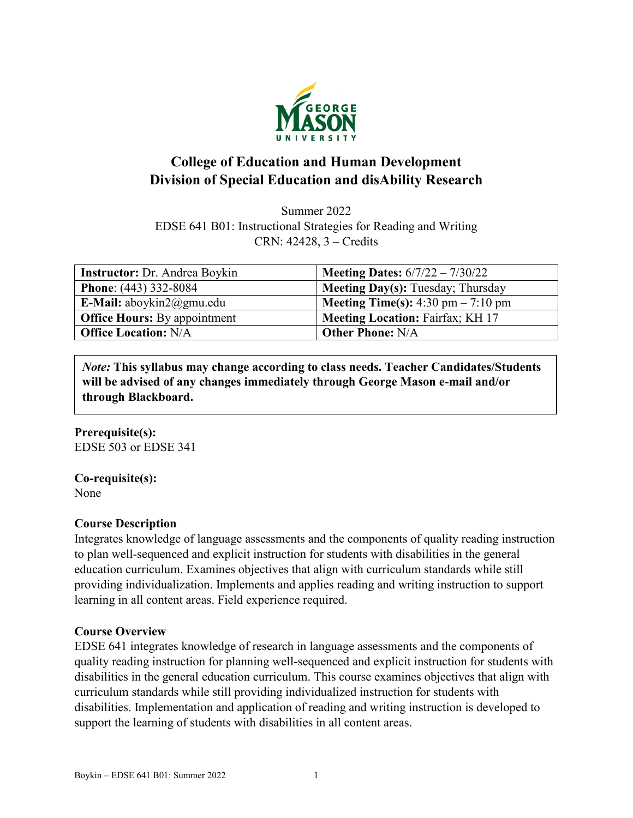

# **College of Education and Human Development Division of Special Education and disAbility Research**

Summer 2022 EDSE 641 B01: Instructional Strategies for Reading and Writing CRN: 42428, 3 – Credits

| <b>Instructor:</b> Dr. Andrea Boykin | <b>Meeting Dates:</b> $6/7/22 - 7/30/22$    |
|--------------------------------------|---------------------------------------------|
| <b>Phone:</b> (443) 332-8084         | <b>Meeting Day(s):</b> Tuesday; Thursday    |
| E-Mail: aboykin $2@gmu.edu$          | <b>Meeting Time(s):</b> 4:30 pm $- 7:10$ pm |
| <b>Office Hours:</b> By appointment  | <b>Meeting Location: Fairfax; KH 17</b>     |
| <b>Office Location: N/A</b>          | <b>Other Phone: N/A</b>                     |

*Note:* **This syllabus may change according to class needs. Teacher Candidates/Students will be advised of any changes immediately through George Mason e-mail and/or through Blackboard.**

#### **Prerequisite(s):** EDSE 503 or EDSE 341

**Co-requisite(s):**

None

# **Course Description**

Integrates knowledge of language assessments and the components of quality reading instruction to plan well-sequenced and explicit instruction for students with disabilities in the general education curriculum. Examines objectives that align with curriculum standards while still providing individualization. Implements and applies reading and writing instruction to support learning in all content areas. Field experience required.

### **Course Overview**

EDSE 641 integrates knowledge of research in language assessments and the components of quality reading instruction for planning well-sequenced and explicit instruction for students with disabilities in the general education curriculum. This course examines objectives that align with curriculum standards while still providing individualized instruction for students with disabilities. Implementation and application of reading and writing instruction is developed to support the learning of students with disabilities in all content areas.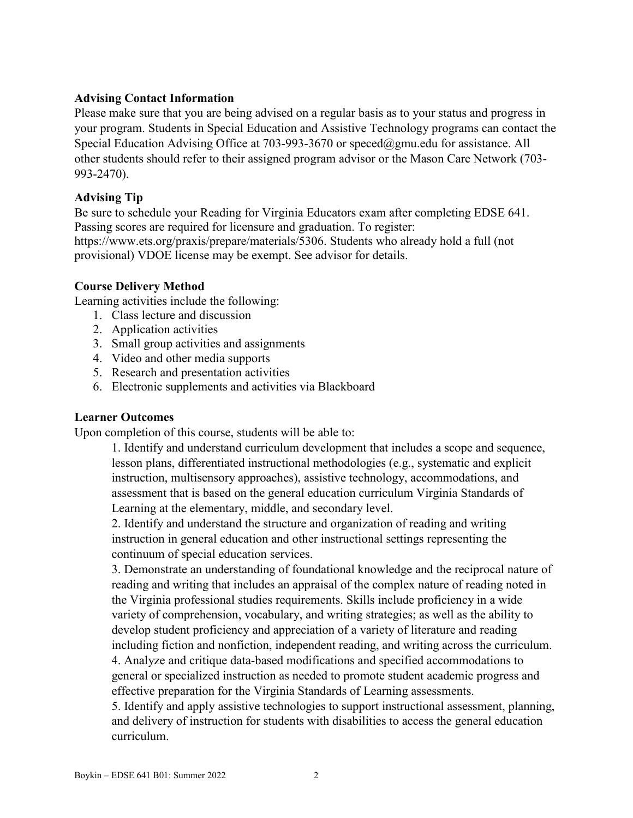#### **Advising Contact Information**

Please make sure that you are being advised on a regular basis as to your status and progress in your program. Students in Special Education and Assistive Technology programs can contact the Special Education Advising Office at 703-993-3670 or [speced@gmu.edu](mailto:speced@gmu.edu) for assistance. All other students should refer to their assigned program advisor or the Mason Care Network (703- 993-2470).

## **Advising Tip**

Be sure to schedule your Reading for Virginia Educators exam after completing EDSE 641. Passing scores are required for licensure and graduation. To register: https://www.ets.org/praxis/prepare/materials/5306. Students who already hold a full (not provisional) VDOE license may be exempt. See advisor for details.

### **Course Delivery Method**

Learning activities include the following:

- 1. Class lecture and discussion
- 2. Application activities
- 3. Small group activities and assignments
- 4. Video and other media supports
- 5. Research and presentation activities
- 6. Electronic supplements and activities via Blackboard

#### **Learner Outcomes**

Upon completion of this course, students will be able to:

1. Identify and understand curriculum development that includes a scope and sequence, lesson plans, differentiated instructional methodologies (e.g., systematic and explicit instruction, multisensory approaches), assistive technology, accommodations, and assessment that is based on the general education curriculum Virginia Standards of Learning at the elementary, middle, and secondary level.

2. Identify and understand the structure and organization of reading and writing instruction in general education and other instructional settings representing the continuum of special education services.

3. Demonstrate an understanding of foundational knowledge and the reciprocal nature of reading and writing that includes an appraisal of the complex nature of reading noted in the Virginia professional studies requirements. Skills include proficiency in a wide variety of comprehension, vocabulary, and writing strategies; as well as the ability to develop student proficiency and appreciation of a variety of literature and reading including fiction and nonfiction, independent reading, and writing across the curriculum. 4. Analyze and critique data-based modifications and specified accommodations to general or specialized instruction as needed to promote student academic progress and effective preparation for the Virginia Standards of Learning assessments.

5. Identify and apply assistive technologies to support instructional assessment, planning, and delivery of instruction for students with disabilities to access the general education curriculum.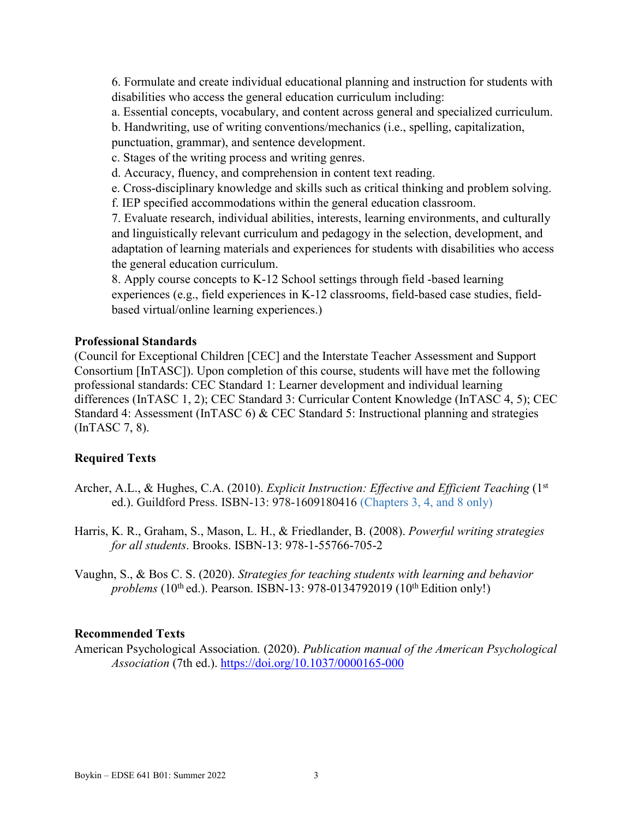6. Formulate and create individual educational planning and instruction for students with disabilities who access the general education curriculum including:

a. Essential concepts, vocabulary, and content across general and specialized curriculum.

b. Handwriting, use of writing conventions/mechanics (i.e., spelling, capitalization,

punctuation, grammar), and sentence development.

c. Stages of the writing process and writing genres.

d. Accuracy, fluency, and comprehension in content text reading.

e. Cross-disciplinary knowledge and skills such as critical thinking and problem solving.

f. IEP specified accommodations within the general education classroom.

7. Evaluate research, individual abilities, interests, learning environments, and culturally and linguistically relevant curriculum and pedagogy in the selection, development, and adaptation of learning materials and experiences for students with disabilities who access the general education curriculum.

8. Apply course concepts to K-12 School settings through field -based learning experiences (e.g., field experiences in K-12 classrooms, field-based case studies, fieldbased virtual/online learning experiences.)

#### **Professional Standards**

(Council for Exceptional Children [CEC] and the Interstate Teacher Assessment and Support Consortium [InTASC]). Upon completion of this course, students will have met the following professional standards: CEC Standard 1: Learner development and individual learning differences (InTASC 1, 2); CEC Standard 3: Curricular Content Knowledge (InTASC 4, 5); CEC Standard 4: Assessment (InTASC 6) & CEC Standard 5: Instructional planning and strategies (InTASC 7, 8).

### **Required Texts**

- Archer, A.L., & Hughes, C.A. (2010). *Explicit Instruction: Effective and Efficient Teaching* (1<sup>st</sup>) ed.). Guildford Press. ISBN-13: 978-1609180416 (Chapters 3, 4, and 8 only)
- Harris, K. R., Graham, S., Mason, L. H., & Friedlander, B. (2008). *Powerful writing strategies for all students*. Brooks. ISBN-13: 978-1-55766-705-2

Vaughn, S., & Bos C. S. (2020). *Strategies for teaching students with learning and behavior problems* (10<sup>th</sup> ed.). Pearson. ISBN-13: 978-0134792019 (10<sup>th</sup> Edition only!)

### **Recommended Texts**

American Psychological Association*.* (2020). *Publication manual of the American Psychological Association* (7th ed.). <https://doi.org/10.1037/0000165-000>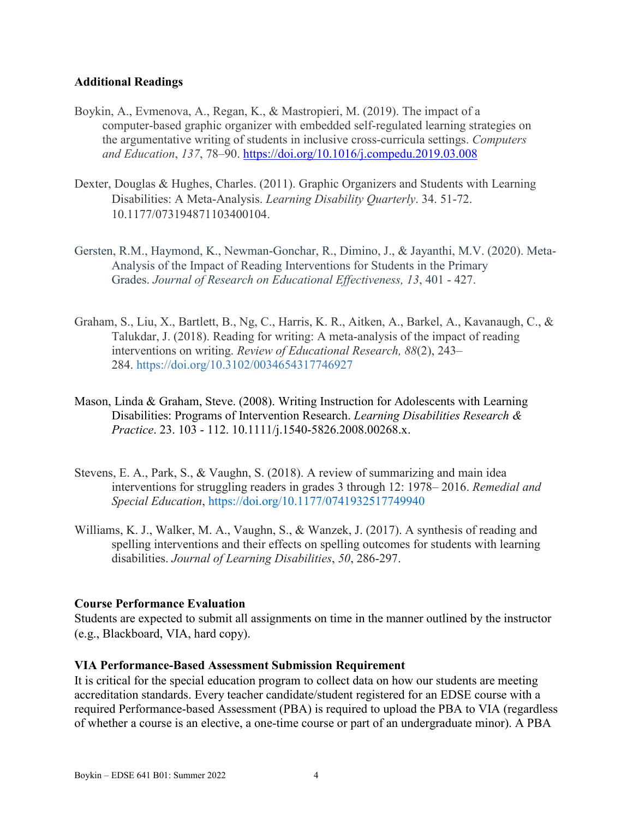#### **Additional Readings**

- Boykin, A., Evmenova, A., Regan, K., & Mastropieri, M. (2019). The impact of a computer-based graphic organizer with embedded self-regulated learning strategies on the argumentative writing of students in inclusive cross-curricula settings. *Computers and Education*, *137*, 78–90.<https://doi.org/10.1016/j.compedu.2019.03.008>
- Dexter, Douglas & Hughes, Charles. (2011). Graphic Organizers and Students with Learning Disabilities: A Meta-Analysis. *Learning Disability Quarterly*. 34. 51-72. 10.1177/073194871103400104.
- Gersten, R.M., Haymond, K., Newman-Gonchar, R., Dimino, J., & Jayanthi, M.V. (2020). Meta-Analysis of the Impact of Reading Interventions for Students in the Primary Grades. *Journal of Research on Educational Effectiveness, 13*, 401 - 427.
- Graham, S., Liu, X., Bartlett, B., Ng, C., Harris, K. R., Aitken, A., Barkel, A., Kavanaugh, C., & Talukdar, J. (2018). Reading for writing: A meta-analysis of the impact of reading interventions on writing. *Review of Educational Research, 88*(2), 243– 284. [https://doi.org/10.3102/0034654317746927](https://psycnet.apa.org/doi/10.3102/0034654317746927)
- Mason, Linda & Graham, Steve. (2008). Writing Instruction for Adolescents with Learning Disabilities: Programs of Intervention Research. *Learning Disabilities Research & Practice*. 23. 103 - 112. 10.1111/j.1540-5826.2008.00268.x.
- Stevens, E. A., Park, S., & Vaughn, S. (2018). A review of summarizing and main idea interventions for struggling readers in grades 3 through 12: 1978– 2016. *Remedial and Special Education*, https://doi.org/10.1177/0741932517749940
- Williams, K. J., Walker, M. A., Vaughn, S., & Wanzek, J. (2017). A synthesis of reading and spelling interventions and their effects on spelling outcomes for students with learning disabilities. *Journal of Learning Disabilities*, *50*, 286-297.

#### **Course Performance Evaluation**

Students are expected to submit all assignments on time in the manner outlined by the instructor (e.g., Blackboard, VIA, hard copy).

#### **VIA Performance-Based Assessment Submission Requirement**

It is critical for the special education program to collect data on how our students are meeting accreditation standards. Every teacher candidate/student registered for an EDSE course with a required Performance-based Assessment (PBA) is required to upload the PBA to VIA (regardless of whether a course is an elective, a one-time course or part of an undergraduate minor). A PBA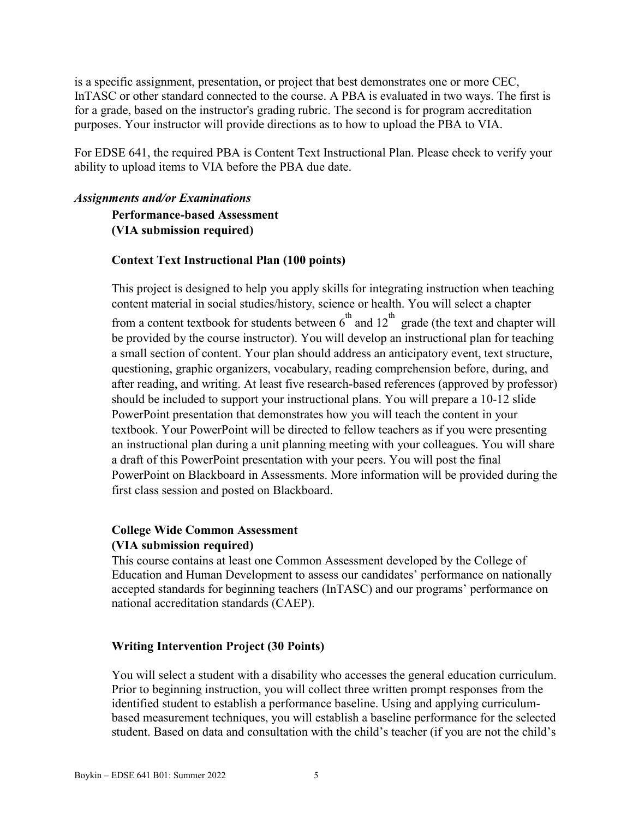is a specific assignment, presentation, or project that best demonstrates one or more CEC, InTASC or other standard connected to the course. A PBA is evaluated in two ways. The first is for a grade, based on the instructor's grading rubric. The second is for program accreditation purposes. Your instructor will provide directions as to how to upload the PBA to VIA.

For EDSE 641, the required PBA is Content Text Instructional Plan. Please check to verify your ability to upload items to VIA before the PBA due date.

#### *Assignments and/or Examinations*

**Performance-based Assessment (VIA submission required)**

#### **Context Text Instructional Plan (100 points)**

This project is designed to help you apply skills for integrating instruction when teaching content material in social studies/history, science or health. You will select a chapter from a content textbook for students between  $6^{th}$  and  $12^{th}$  grade (the text and chapter will be provided by the course instructor). You will develop an instructional plan for teaching a small section of content. Your plan should address an anticipatory event, text structure, questioning, graphic organizers, vocabulary, reading comprehension before, during, and after reading, and writing. At least five research-based references (approved by professor) should be included to support your instructional plans. You will prepare a 10-12 slide PowerPoint presentation that demonstrates how you will teach the content in your textbook. Your PowerPoint will be directed to fellow teachers as if you were presenting an instructional plan during a unit planning meeting with your colleagues. You will share a draft of this PowerPoint presentation with your peers. You will post the final PowerPoint on Blackboard in Assessments. More information will be provided during the first class session and posted on Blackboard.

### **College Wide Common Assessment (VIA submission required)**

This course contains at least one Common Assessment developed by the College of Education and Human Development to assess our candidates' performance on nationally accepted standards for beginning teachers (InTASC) and our programs' performance on national accreditation standards (CAEP).

#### **Writing Intervention Project (30 Points)**

You will select a student with a disability who accesses the general education curriculum. Prior to beginning instruction, you will collect three written prompt responses from the identified student to establish a performance baseline. Using and applying curriculumbased measurement techniques, you will establish a baseline performance for the selected student. Based on data and consultation with the child's teacher (if you are not the child's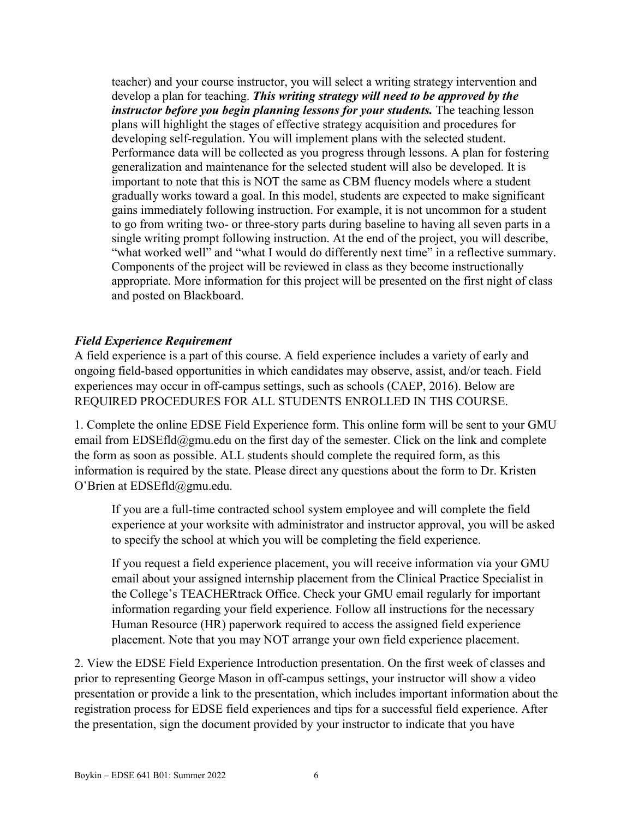teacher) and your course instructor, you will select a writing strategy intervention and develop a plan for teaching. *This writing strategy will need to be approved by the instructor before you begin planning lessons for your students.* The teaching lesson plans will highlight the stages of effective strategy acquisition and procedures for developing self-regulation. You will implement plans with the selected student. Performance data will be collected as you progress through lessons. A plan for fostering generalization and maintenance for the selected student will also be developed. It is important to note that this is NOT the same as CBM fluency models where a student gradually works toward a goal. In this model, students are expected to make significant gains immediately following instruction. For example, it is not uncommon for a student to go from writing two- or three-story parts during baseline to having all seven parts in a single writing prompt following instruction. At the end of the project, you will describe, "what worked well" and "what I would do differently next time" in a reflective summary. Components of the project will be reviewed in class as they become instructionally appropriate. More information for this project will be presented on the first night of class and posted on Blackboard.

### *Field Experience Requirement*

A field experience is a part of this course. A field experience includes a variety of early and ongoing field-based opportunities in which candidates may observe, assist, and/or teach. Field experiences may occur in off-campus settings, such as schools (CAEP, 2016). Below are REQUIRED PROCEDURES FOR ALL STUDENTS ENROLLED IN THS COURSE.

1. Complete the online EDSE Field Experience form. This online form will be sent to your GMU email from EDSEfld@gmu.edu on the first day of the semester. Click on the link and complete the form as soon as possible. ALL students should complete the required form, as this information is required by the state. Please direct any questions about the form to Dr. Kristen O'Brien at EDSEfld@gmu.edu.

If you are a full-time contracted school system employee and will complete the field experience at your worksite with administrator and instructor approval, you will be asked to specify the school at which you will be completing the field experience.

If you request a field experience placement, you will receive information via your GMU email about your assigned internship placement from the Clinical Practice Specialist in the College's TEACHERtrack Office. Check your GMU email regularly for important information regarding your field experience. Follow all instructions for the necessary Human Resource (HR) paperwork required to access the assigned field experience placement. Note that you may NOT arrange your own field experience placement.

2. View the EDSE Field Experience Introduction presentation. On the first week of classes and prior to representing George Mason in off-campus settings, your instructor will show a video presentation or provide a link to the presentation, which includes important information about the registration process for EDSE field experiences and tips for a successful field experience. After the presentation, sign the document provided by your instructor to indicate that you have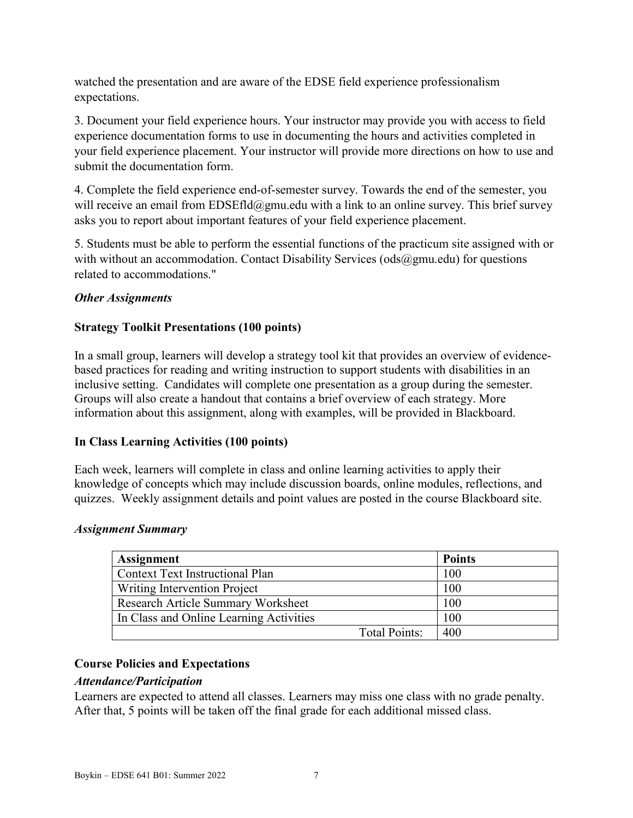watched the presentation and are aware of the EDSE field experience professionalism expectations.

3. Document your field experience hours. Your instructor may provide you with access to field experience documentation forms to use in documenting the hours and activities completed in your field experience placement. Your instructor will provide more directions on how to use and submit the documentation form.

4. Complete the field experience end-of-semester survey. Towards the end of the semester, you will receive an email from  $EDSEfld@gmu.edu$  with a link to an online survey. This brief survey asks you to report about important features of your field experience placement.

5. Students must be able to perform the essential functions of the practicum site assigned with or with without an accommodation. Contact Disability Services ( $\text{ods}(\partial \text{gmu.edu})$  for questions related to accommodations."

### *Other Assignments*

# **Strategy Toolkit Presentations (100 points)**

In a small group, learners will develop a strategy tool kit that provides an overview of evidencebased practices for reading and writing instruction to support students with disabilities in an inclusive setting. Candidates will complete one presentation as a group during the semester. Groups will also create a handout that contains a brief overview of each strategy. More information about this assignment, along with examples, will be provided in Blackboard.

### **In Class Learning Activities (100 points)**

Each week, learners will complete in class and online learning activities to apply their knowledge of concepts which may include discussion boards, online modules, reflections, and quizzes. Weekly assignment details and point values are posted in the course Blackboard site.

### *Assignment Summary*

| <b>Assignment</b>                       |                      | <b>Points</b> |
|-----------------------------------------|----------------------|---------------|
| <b>Context Text Instructional Plan</b>  |                      | 100           |
| Writing Intervention Project            |                      | 100           |
| Research Article Summary Worksheet      |                      | 100           |
| In Class and Online Learning Activities |                      | 100           |
|                                         | <b>Total Points:</b> | 400           |

# **Course Policies and Expectations**

### *Attendance/Participation*

Learners are expected to attend all classes. Learners may miss one class with no grade penalty. After that, 5 points will be taken off the final grade for each additional missed class.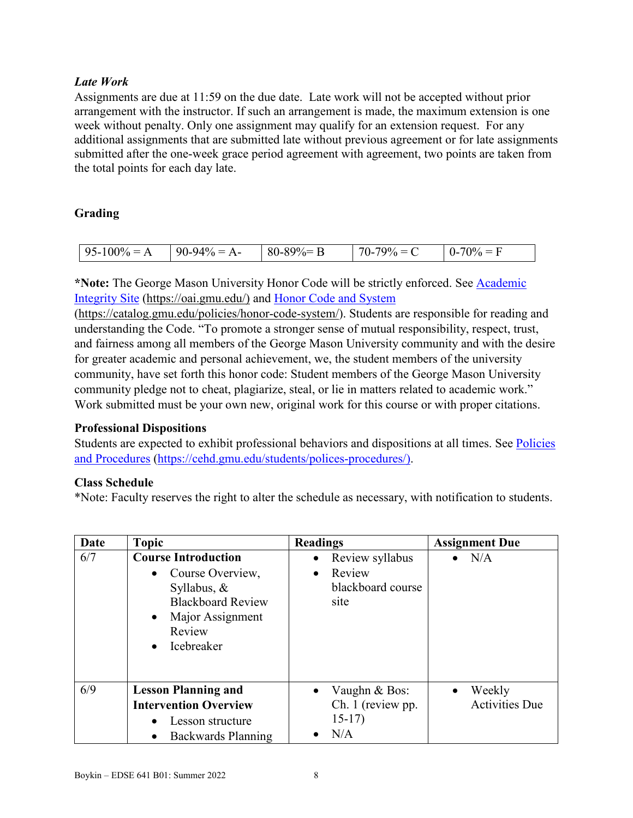# *Late Work*

Assignments are due at 11:59 on the due date. Late work will not be accepted without prior arrangement with the instructor. If such an arrangement is made, the maximum extension is one week without penalty. Only one assignment may qualify for an extension request. For any additional assignments that are submitted late without previous agreement or for late assignments submitted after the one-week grace period agreement with agreement, two points are taken from the total points for each day late.

# **Grading**

| $\sim$<br>l Q 4<br>96<br>77<br>$\mathbf{A}$<br>. н.<br>$\overline{\phantom{a}}$<br>$\sim$ $\sim$ $\sim$ $\sim$<br>.<br>70.<br><br>. . |
|---------------------------------------------------------------------------------------------------------------------------------------|
|---------------------------------------------------------------------------------------------------------------------------------------|

\*Note: The George Mason University Honor Code will be strictly enforced. See Academic [Integrity Site \(https://oai.gmu.edu/\)](https://oai.gmu.edu/) and [Honor Code and System](https://catalog.gmu.edu/policies/honor-code-system/)

[\(https://catalog.gmu.edu/policies/honor-code-system/\)](https://catalog.gmu.edu/policies/honor-code-system/). Students are responsible for reading and understanding the Code. "To promote a stronger sense of mutual responsibility, respect, trust, and fairness among all members of the George Mason University community and with the desire for greater academic and personal achievement, we, the student members of the university community, have set forth this honor code: Student members of the George Mason University community pledge not to cheat, plagiarize, steal, or lie in matters related to academic work." Work submitted must be your own new, original work for this course or with proper citations.

#### **Professional Dispositions**

Students are expected to exhibit professional behaviors and dispositions at all times. See [Policies](https://cehd.gmu.edu/students/polices-procedures/)  [and Procedures \(https://cehd.gmu.edu/students/polices-procedures/\)](https://cehd.gmu.edu/students/polices-procedures/).

### **Class Schedule**

\*Note: Faculty reserves the right to alter the schedule as necessary, with notification to students.

| Date | <b>Topic</b>                                                                                                                                                                           | <b>Readings</b>                                                                  | <b>Assignment Due</b>                        |
|------|----------------------------------------------------------------------------------------------------------------------------------------------------------------------------------------|----------------------------------------------------------------------------------|----------------------------------------------|
| 6/7  | <b>Course Introduction</b><br>Course Overview,<br>$\bullet$<br>Syllabus, $\&$<br><b>Blackboard Review</b><br>Major Assignment<br>$\bullet$<br>Review<br><b>Icebreaker</b><br>$\bullet$ | Review syllabus<br>$\bullet$<br>Review<br>$\bullet$<br>blackboard course<br>site | $\bullet$ N/A                                |
| 6/9  | <b>Lesson Planning and</b><br><b>Intervention Overview</b><br>Lesson structure<br>$\bullet$<br>Backwards Planning<br>$\bullet$                                                         | Vaughn & Bos:<br>$\bullet$<br>Ch. 1 (review pp.<br>$15-17)$<br>N/A               | Weekly<br>$\bullet$<br><b>Activities Due</b> |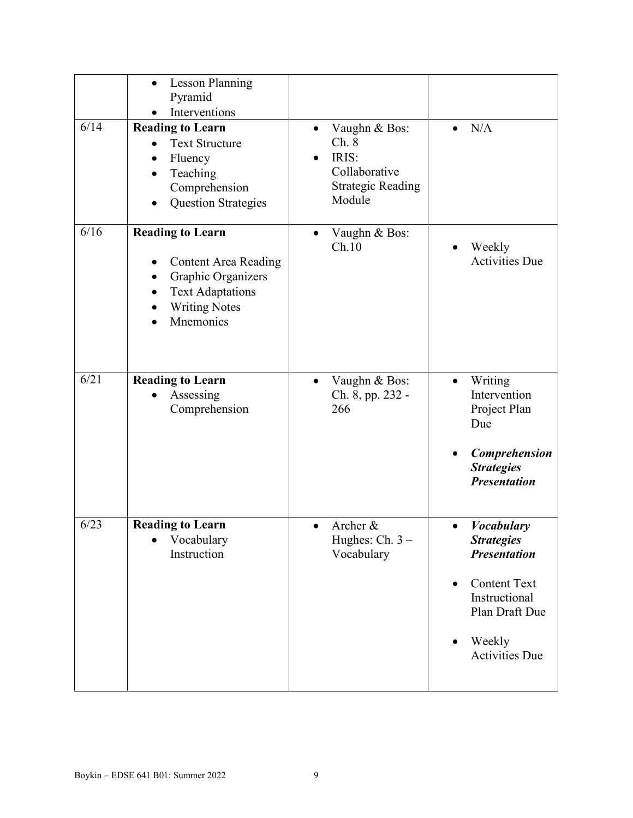| 6/14 | <b>Lesson Planning</b><br>$\bullet$<br>Pyramid<br>Interventions<br><b>Reading to Learn</b><br><b>Text Structure</b><br>Fluency<br>Teaching<br>Comprehension<br><b>Question Strategies</b> | Vaughn & Bos:<br>$\bullet$<br>Ch. 8<br>IRIS:<br>Collaborative<br><b>Strategic Reading</b><br>Module | N/A<br>$\bullet$                                                                                                                                                                                  |
|------|-------------------------------------------------------------------------------------------------------------------------------------------------------------------------------------------|-----------------------------------------------------------------------------------------------------|---------------------------------------------------------------------------------------------------------------------------------------------------------------------------------------------------|
| 6/16 | <b>Reading to Learn</b><br><b>Content Area Reading</b><br>Graphic Organizers<br><b>Text Adaptations</b><br><b>Writing Notes</b><br>Mnemonics                                              | Vaughn & Bos:<br>Ch.10                                                                              | Weekly<br><b>Activities Due</b>                                                                                                                                                                   |
| 6/21 | <b>Reading to Learn</b><br>Assessing<br>Comprehension                                                                                                                                     | Vaughn & Bos:<br>$\bullet$<br>Ch. 8, pp. 232 -<br>266                                               | Writing<br>$\bullet$<br>Intervention<br>Project Plan<br>Due<br>Comprehension<br><b>Strategies</b><br><b>Presentation</b>                                                                          |
| 6/23 | <b>Reading to Learn</b><br>Vocabulary<br>$\bullet$<br>Instruction                                                                                                                         | Archer &<br>Hughes: Ch. $3-$<br>Vocabulary                                                          | <b>Vocabulary</b><br>$\bullet$<br><b>Strategies</b><br><b>Presentation</b><br><b>Content Text</b><br>$\bullet$<br>Instructional<br>Plan Draft Due<br>Weekly<br>$\bullet$<br><b>Activities Due</b> |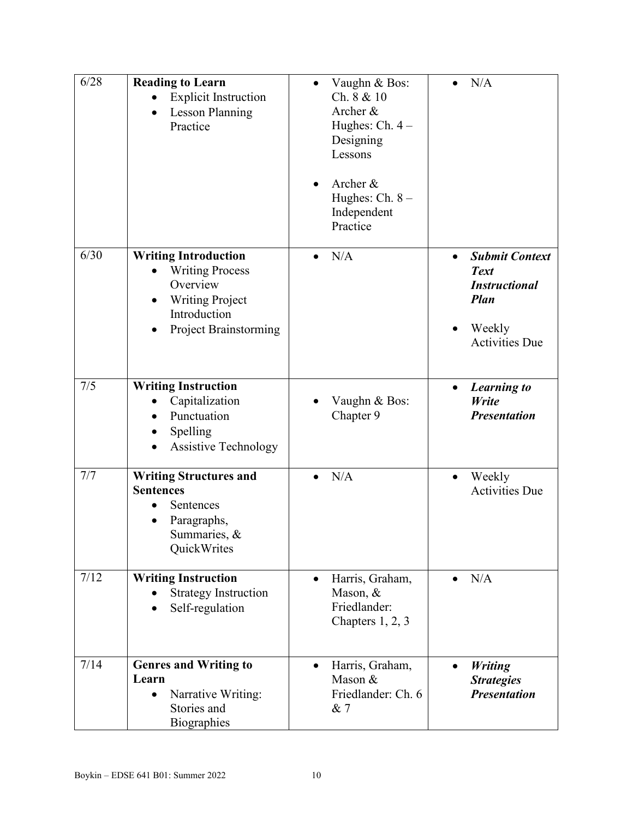| 6/28 | <b>Reading to Learn</b><br><b>Explicit Instruction</b><br><b>Lesson Planning</b><br>$\bullet$<br>Practice                                   | Vaughn & Bos:<br>Ch. 8 & 10<br>Archer &<br>Hughes: Ch. $4-$<br>Designing<br>Lessons<br>Archer &<br>Hughes: Ch. 8 -<br>Independent<br>Practice | N/A                                                                                                                                      |
|------|---------------------------------------------------------------------------------------------------------------------------------------------|-----------------------------------------------------------------------------------------------------------------------------------------------|------------------------------------------------------------------------------------------------------------------------------------------|
| 6/30 | <b>Writing Introduction</b><br><b>Writing Process</b><br>Overview<br><b>Writing Project</b><br>Introduction<br><b>Project Brainstorming</b> | N/A                                                                                                                                           | <b>Submit Context</b><br>$\bullet$<br><b>Text</b><br><b>Instructional</b><br><b>Plan</b><br>Weekly<br>$\bullet$<br><b>Activities Due</b> |
| 7/5  | <b>Writing Instruction</b><br>Capitalization<br>Punctuation<br>Spelling<br><b>Assistive Technology</b>                                      | Vaughn & Bos:<br>Chapter 9                                                                                                                    | <b>Learning to</b><br>$\bullet$<br>Write<br><b>Presentation</b>                                                                          |
| 7/7  | <b>Writing Structures and</b><br><b>Sentences</b><br>Sentences<br>Paragraphs,<br>Summaries, &<br>QuickWrites                                | N/A                                                                                                                                           | Weekly<br>$\bullet$<br><b>Activities Due</b>                                                                                             |
| 7/12 | <b>Writing Instruction</b><br><b>Strategy Instruction</b><br>Self-regulation                                                                | Harris, Graham,<br>$\bullet$<br>Mason, &<br>Friedlander:<br>Chapters $1, 2, 3$                                                                | N/A<br>$\bullet$                                                                                                                         |
| 7/14 | <b>Genres and Writing to</b><br>Learn<br>Narrative Writing:<br>Stories and<br>Biographies                                                   | Harris, Graham,<br>Mason &<br>Friedlander: Ch. 6<br>& 7                                                                                       | <b>Writing</b><br>$\bullet$<br><b>Strategies</b><br><b>Presentation</b>                                                                  |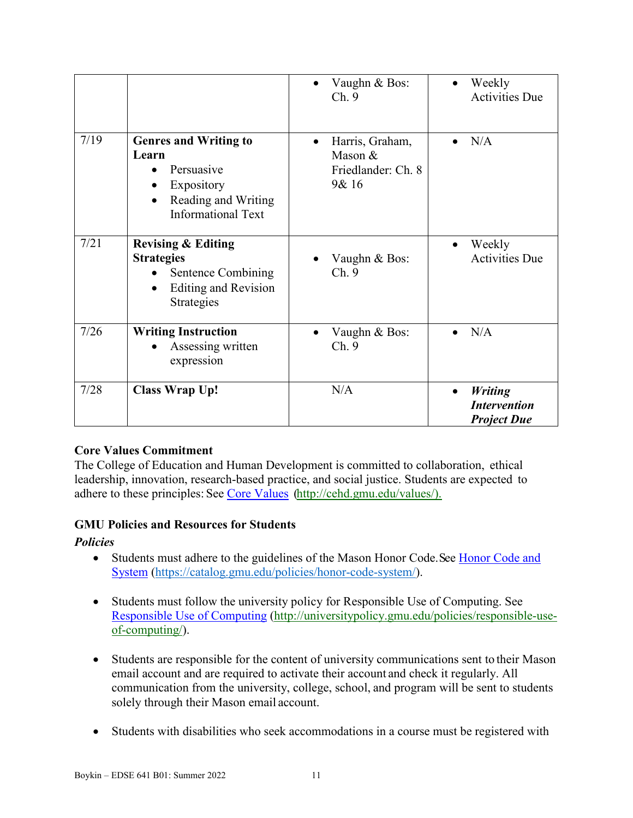|      |                                                                                                                                    | Vaughn & Bos:<br>Ch.9                                                  | Weekly<br><b>Activities Due</b>                                          |
|------|------------------------------------------------------------------------------------------------------------------------------------|------------------------------------------------------------------------|--------------------------------------------------------------------------|
| 7/19 | <b>Genres and Writing to</b><br>Learn<br>Persuasive<br>Expository<br>Reading and Writing<br>$\bullet$<br><b>Informational Text</b> | Harris, Graham,<br>$\bullet$<br>Mason &<br>Friedlander: Ch. 8<br>9& 16 | N/A<br>$\bullet$                                                         |
| 7/21 | <b>Revising &amp; Editing</b><br><b>Strategies</b><br>Sentence Combining<br><b>Editing and Revision</b><br>Strategies              | Vaughn & Bos:<br>Ch.9                                                  | Weekly<br><b>Activities Due</b>                                          |
| 7/26 | <b>Writing Instruction</b><br>Assessing written<br>expression                                                                      | Vaughn & Bos:<br>Ch.9                                                  | N/A<br>$\bullet$                                                         |
| 7/28 | <b>Class Wrap Up!</b>                                                                                                              | N/A                                                                    | <b>Writing</b><br>$\bullet$<br><b>Intervention</b><br><b>Project Due</b> |

### **Core Values Commitment**

The College of Education and Human Development is committed to collaboration, ethical leadership, innovation, research-based practice, and social justice. Students are expected to adhere to these principles: See [Core Values \(http://cehd.gmu.edu/values/\)](http://cehd.gmu.edu/values/).

### **GMU Policies and Resources for Students**

### *Policies*

- Students must adhere to the guidelines of the Mason Honor Code. See Honor Code and [System \(https://catalog.gmu.edu/policies/honor-code-system/\)](https://catalog.gmu.edu/policies/honor-code-system/).
- Students must follow the university policy for Responsible Use of Computing. See [Responsible Use of Computing \(http://universitypolicy.gmu.edu/policies/responsible-use](http://universitypolicy.gmu.edu/policies/responsible-use-of-computing/)[of-computing/\)](http://universitypolicy.gmu.edu/policies/responsible-use-of-computing/).
- Students are responsible for the content of university communications sent to their Mason email account and are required to activate their account and check it regularly. All communication from the university, college, school, and program will be sent to students solely through their Mason email account.
- Students with disabilities who seek accommodations in a course must be registered with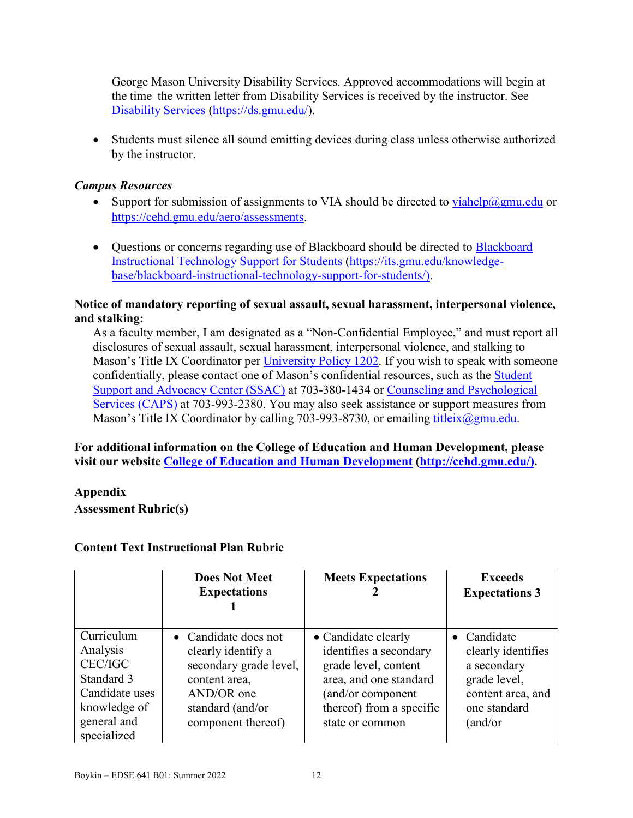George Mason University Disability Services. Approved accommodations will begin at the time the written letter from Disability Services is received by the instructor. See [Disability Services \(https://ds.gmu.edu/\)](https://ds.gmu.edu/).

• Students must silence all sound emitting devices during class unless otherwise authorized by the instructor.

### *Campus Resources*

- Support for submission of assignments to VIA should be directed to  $v_i$  iahelp@gmu.edu or [https://cehd.gmu.edu/aero/assessments.](https://cehd.gmu.edu/aero/assessments)
- Ouestions or concerns regarding use of [Blackboard](https://its.gmu.edu/knowledge-base/blackboard-instructional-technology-support-for-students/) should be directed to Blackboard [Instructional Technology Support for Students \(https://its.gmu.edu/knowledge](https://its.gmu.edu/knowledge-base/blackboard-instructional-technology-support-for-students/)[base/blackboard-instructional-technology-support-for-students/\)](https://its.gmu.edu/knowledge-base/blackboard-instructional-technology-support-for-students/).

### **Notice of mandatory reporting of sexual assault, sexual harassment, interpersonal violence, and stalking:**

As a faculty member, I am designated as a "Non-Confidential Employee," and must report all disclosures of sexual assault, sexual harassment, interpersonal violence, and stalking to Mason's Title IX Coordinator per [University Policy 1202.](https://universitypolicy.gmu.edu/policies/sexual-harassment-policy/) If you wish to speak with someone confidentially, please contact one of Mason's confidential resources, such as the [Student](https://ssac.gmu.edu/) [Support and Advocacy Center \(SSAC\)](https://ssac.gmu.edu/) at 703-380-1434 or [Counseling and Psychological](https://caps.gmu.edu/)  [Services \(CAPS\)](https://caps.gmu.edu/) at 703-993-2380. You may also seek assistance or support measures from Mason's Title IX Coordinator by calling 703-993-8730, or emailing [titleix@gmu.edu.](mailto:titleix@gmu.edu)

### **For additional information on the College of Education and Human Development, please visit our website [College of Education and Human Development](http://cehd.gmu.edu/) [\(http://cehd.gmu.edu/\)](https://cehd.gmu.edu/).**

**Appendix**

**Assessment Rubric(s)**

### **Content Text Instructional Plan Rubric**

|                                                                                                                 | <b>Does Not Meet</b><br><b>Expectations</b>                                                                                                   | <b>Meets Expectations</b>                                                                                                                                           | <b>Exceeds</b><br><b>Expectations 3</b>                                                                          |
|-----------------------------------------------------------------------------------------------------------------|-----------------------------------------------------------------------------------------------------------------------------------------------|---------------------------------------------------------------------------------------------------------------------------------------------------------------------|------------------------------------------------------------------------------------------------------------------|
| Curriculum<br>Analysis<br>CEC/IGC<br>Standard 3<br>Candidate uses<br>knowledge of<br>general and<br>specialized | • Candidate does not<br>clearly identify a<br>secondary grade level,<br>content area,<br>AND/OR one<br>standard (and/or<br>component thereof) | • Candidate clearly<br>identifies a secondary<br>grade level, content<br>area, and one standard<br>(and/or component<br>thereof) from a specific<br>state or common | • Candidate<br>clearly identifies<br>a secondary<br>grade level,<br>content area, and<br>one standard<br>(and/or |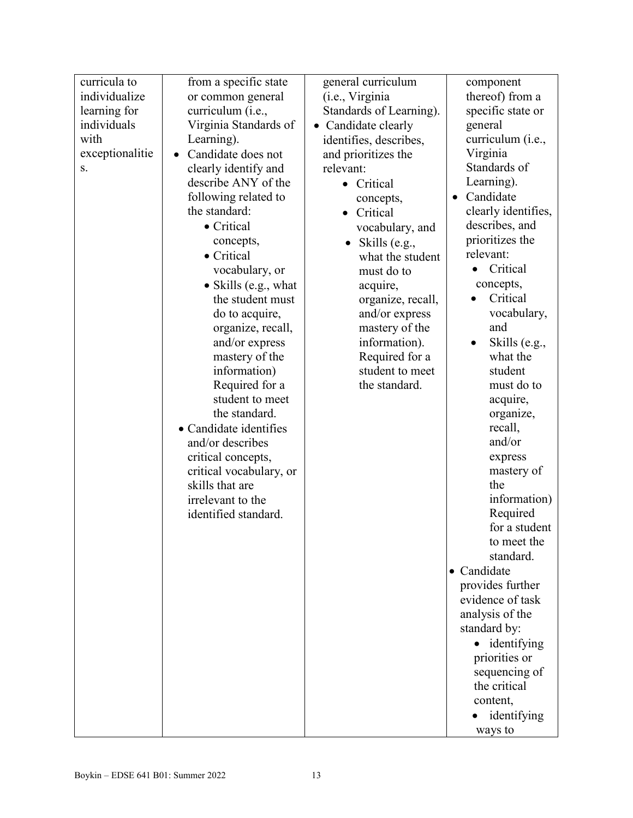| curricula to    | from a specific state           | general curriculum      | component             |
|-----------------|---------------------------------|-------------------------|-----------------------|
| individualize   | or common general               | (i.e., Virginia         | thereof) from a       |
| learning for    | curriculum (i.e.,               | Standards of Learning). | specific state or     |
| individuals     | Virginia Standards of           | • Candidate clearly     | general               |
| with            | Learning).                      | identifies, describes,  | curriculum (i.e.,     |
| exceptionalitie | Candidate does not<br>$\bullet$ | and prioritizes the     | Virginia              |
| S.              | clearly identify and            | relevant:               | Standards of          |
|                 | describe ANY of the             | • Critical              | Learning).            |
|                 | following related to            | concepts,               | Candidate             |
|                 | the standard:                   | Critical<br>$\bullet$   | clearly identifies,   |
|                 | • Critical                      | vocabulary, and         | describes, and        |
|                 | concepts,                       | Skills (e.g.,           | prioritizes the       |
|                 | • Critical                      | what the student        | relevant:             |
|                 | vocabulary, or                  | must do to              | Critical<br>$\bullet$ |
|                 | • Skills (e.g., what            | acquire,                | concepts,             |
|                 | the student must                | organize, recall,       | Critical              |
|                 | do to acquire,                  | and/or express          | vocabulary,           |
|                 | organize, recall,               | mastery of the          | and                   |
|                 | and/or express                  | information).           | Skills (e.g.,         |
|                 | mastery of the                  | Required for a          | what the              |
|                 | information)                    | student to meet         | student               |
|                 | Required for a                  | the standard.           | must do to            |
|                 | student to meet                 |                         | acquire,              |
|                 | the standard.                   |                         | organize,             |
|                 | • Candidate identifies          |                         | recall,               |
|                 | and/or describes                |                         | and/or                |
|                 | critical concepts,              |                         | express               |
|                 | critical vocabulary, or         |                         | mastery of            |
|                 | skills that are                 |                         | the                   |
|                 | irrelevant to the               |                         | information)          |
|                 | identified standard.            |                         | Required              |
|                 |                                 |                         | for a student         |
|                 |                                 |                         | to meet the           |
|                 |                                 |                         | standard.             |
|                 |                                 |                         | • Candidate           |
|                 |                                 |                         | provides further      |
|                 |                                 |                         | evidence of task      |
|                 |                                 |                         | analysis of the       |
|                 |                                 |                         | standard by:          |
|                 |                                 |                         | • identifying         |
|                 |                                 |                         | priorities or         |
|                 |                                 |                         | sequencing of         |
|                 |                                 |                         | the critical          |
|                 |                                 |                         | content,              |
|                 |                                 |                         | identifying           |
|                 |                                 |                         | ways to               |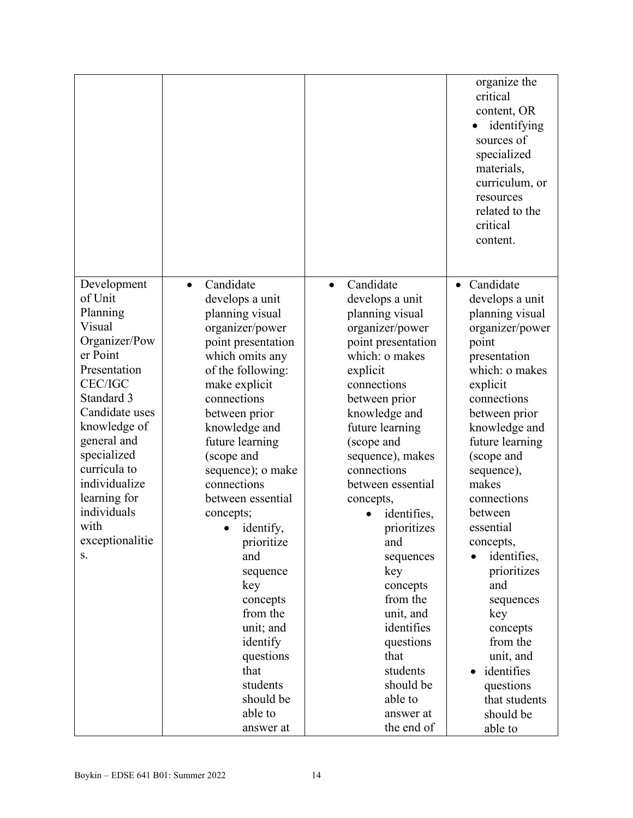|                          |                              |                         | organize the<br>critical<br>content, OR<br>identifying<br>sources of<br>specialized<br>materials,<br>curriculum, or<br>resources<br>related to the<br>critical<br>content. |
|--------------------------|------------------------------|-------------------------|----------------------------------------------------------------------------------------------------------------------------------------------------------------------------|
| Development              | Candidate<br>$\bullet$       | Candidate<br>$\bullet$  | Candidate<br>$\bullet$                                                                                                                                                     |
| of Unit                  | develops a unit              | develops a unit         | develops a unit                                                                                                                                                            |
| Planning                 | planning visual              | planning visual         | planning visual                                                                                                                                                            |
| Visual                   | organizer/power              | organizer/power         | organizer/power                                                                                                                                                            |
| Organizer/Pow            | point presentation           | point presentation      | point                                                                                                                                                                      |
| er Point<br>Presentation | which omits any              | which: o makes          | presentation<br>which: o makes                                                                                                                                             |
| <b>CEC/IGC</b>           | of the following:            | explicit<br>connections |                                                                                                                                                                            |
| Standard 3               | make explicit<br>connections | between prior           | explicit<br>connections                                                                                                                                                    |
| Candidate uses           | between prior                | knowledge and           | between prior                                                                                                                                                              |
| knowledge of             | knowledge and                | future learning         | knowledge and                                                                                                                                                              |
| general and              | future learning              | (scope and              | future learning                                                                                                                                                            |
| specialized              | (scope and                   | sequence), makes        | (scope and                                                                                                                                                                 |
| curricula to             | sequence); o make            | connections             | sequence),                                                                                                                                                                 |
| individualize            | connections                  | between essential       | makes                                                                                                                                                                      |
| learning for             | between essential            | concepts,               | connections                                                                                                                                                                |
| individuals              | concepts;                    | identifies,             | between                                                                                                                                                                    |
| with                     | identify,<br>$\bullet$       | prioritizes             | essential                                                                                                                                                                  |
| exceptionalitie          | prioritize                   | and                     | concepts,                                                                                                                                                                  |
| S.                       | and                          | sequences               | identifies,                                                                                                                                                                |
|                          | sequence                     | key                     | prioritizes                                                                                                                                                                |
|                          | key                          | concepts                | and                                                                                                                                                                        |
|                          | concepts                     | from the                | sequences                                                                                                                                                                  |
|                          | from the                     | unit, and               | key                                                                                                                                                                        |
|                          | unit; and                    | identifies              | concepts                                                                                                                                                                   |
|                          | identify                     | questions               | from the                                                                                                                                                                   |
|                          | questions                    | that                    | unit, and                                                                                                                                                                  |
|                          | that<br>students             | students<br>should be   | identifies                                                                                                                                                                 |
|                          | should be                    | able to                 | questions<br>that students                                                                                                                                                 |
|                          |                              |                         |                                                                                                                                                                            |
|                          |                              |                         |                                                                                                                                                                            |
|                          | able to<br>answer at         | answer at<br>the end of | should be<br>able to                                                                                                                                                       |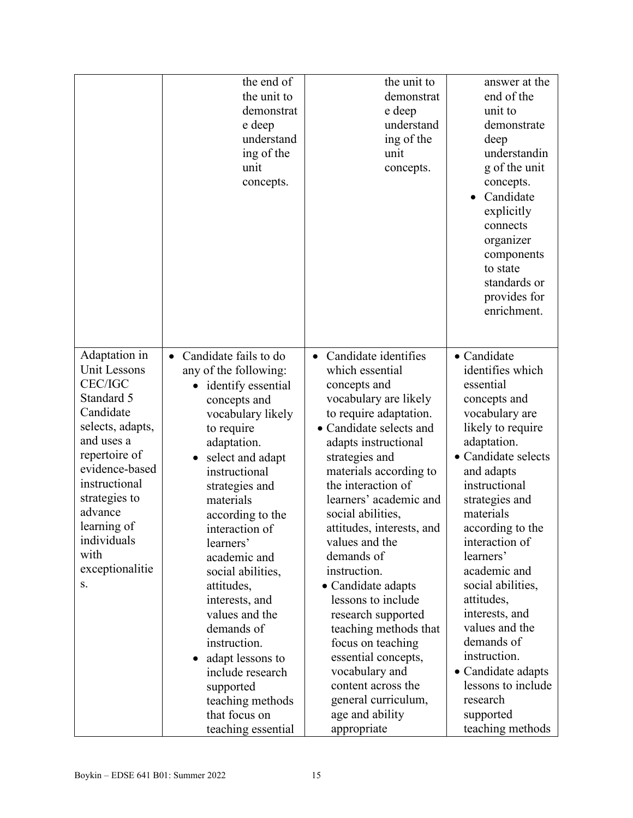|                                                                                                                                                                                                                                                             | the end of<br>the unit to<br>demonstrat<br>e deep<br>understand<br>ing of the<br>unit<br>concepts.                                                                                                                                                                                                                                                                                                                                                                                                                           | the unit to<br>demonstrat<br>e deep<br>understand<br>ing of the<br>unit<br>concepts.                                                                                                                                                                                                                                                                                                                                                                                                                                                                                                                             | answer at the<br>end of the<br>unit to<br>demonstrate<br>deep<br>understandin<br>g of the unit<br>concepts.<br>Candidate<br>explicitly<br>connects<br>organizer<br>components<br>to state<br>standards or<br>provides for<br>enrichment.                                                                                                                                                                                                                                 |
|-------------------------------------------------------------------------------------------------------------------------------------------------------------------------------------------------------------------------------------------------------------|------------------------------------------------------------------------------------------------------------------------------------------------------------------------------------------------------------------------------------------------------------------------------------------------------------------------------------------------------------------------------------------------------------------------------------------------------------------------------------------------------------------------------|------------------------------------------------------------------------------------------------------------------------------------------------------------------------------------------------------------------------------------------------------------------------------------------------------------------------------------------------------------------------------------------------------------------------------------------------------------------------------------------------------------------------------------------------------------------------------------------------------------------|--------------------------------------------------------------------------------------------------------------------------------------------------------------------------------------------------------------------------------------------------------------------------------------------------------------------------------------------------------------------------------------------------------------------------------------------------------------------------|
| Adaptation in<br>Unit Lessons<br><b>CEC/IGC</b><br>Standard 5<br>Candidate<br>selects, adapts,<br>and uses a<br>repertoire of<br>evidence-based<br>instructional<br>strategies to<br>advance<br>learning of<br>individuals<br>with<br>exceptionalitie<br>S. | Candidate fails to do<br>$\bullet$<br>any of the following:<br>identify essential<br>concepts and<br>vocabulary likely<br>to require<br>adaptation.<br>select and adapt<br>instructional<br>strategies and<br>materials<br>according to the<br>interaction of<br>learners'<br>academic and<br>social abilities,<br>attitudes,<br>interests, and<br>values and the<br>demands of<br>instruction.<br>adapt lessons to<br>$\bullet$<br>include research<br>supported<br>teaching methods<br>that focus on<br>teaching essential | Candidate identifies<br>$\bullet$<br>which essential<br>concepts and<br>vocabulary are likely<br>to require adaptation.<br>• Candidate selects and<br>adapts instructional<br>strategies and<br>materials according to<br>the interaction of<br>learners' academic and<br>social abilities,<br>attitudes, interests, and<br>values and the<br>demands of<br>instruction.<br>• Candidate adapts<br>lessons to include<br>research supported<br>teaching methods that<br>focus on teaching<br>essential concepts,<br>vocabulary and<br>content across the<br>general curriculum,<br>age and ability<br>appropriate | • Candidate<br>identifies which<br>essential<br>concepts and<br>vocabulary are<br>likely to require<br>adaptation.<br>• Candidate selects<br>and adapts<br>instructional<br>strategies and<br>materials<br>according to the<br>interaction of<br>learners'<br>academic and<br>social abilities,<br>attitudes,<br>interests, and<br>values and the<br>demands of<br>instruction.<br>• Candidate adapts<br>lessons to include<br>research<br>supported<br>teaching methods |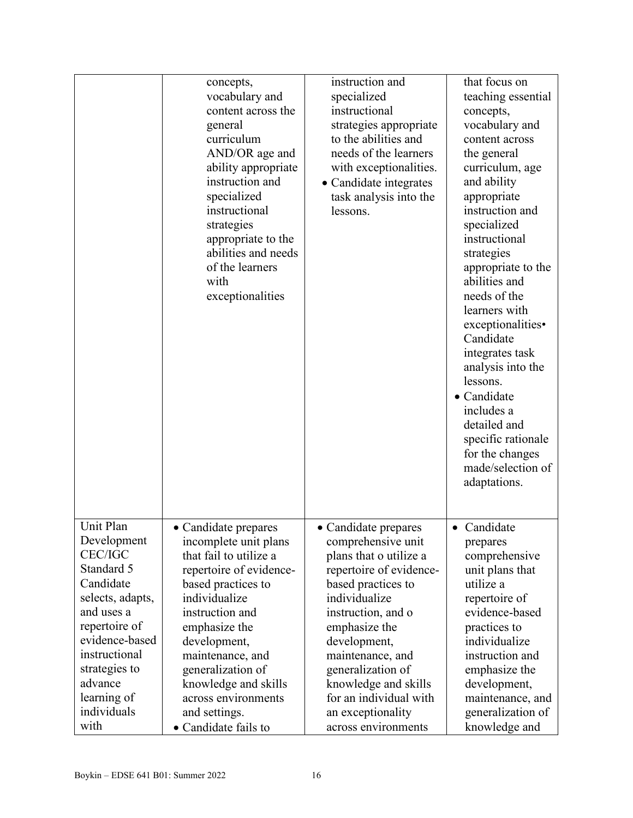|                  | concepts,                            | instruction and         | that focus on      |
|------------------|--------------------------------------|-------------------------|--------------------|
|                  |                                      | specialized             | teaching essential |
|                  | vocabulary and<br>content across the | instructional           |                    |
|                  |                                      |                         | concepts,          |
|                  | general                              | strategies appropriate  | vocabulary and     |
|                  | curriculum                           | to the abilities and    | content across     |
|                  | AND/OR age and                       | needs of the learners   | the general        |
|                  | ability appropriate                  | with exceptionalities.  | curriculum, age    |
|                  | instruction and                      | • Candidate integrates  | and ability        |
|                  | specialized                          | task analysis into the  | appropriate        |
|                  | instructional                        | lessons.                | instruction and    |
|                  | strategies                           |                         | specialized        |
|                  | appropriate to the                   |                         | instructional      |
|                  | abilities and needs                  |                         | strategies         |
|                  | of the learners                      |                         | appropriate to the |
|                  | with                                 |                         | abilities and      |
|                  | exceptionalities                     |                         | needs of the       |
|                  |                                      |                         | learners with      |
|                  |                                      |                         | exceptionalities•  |
|                  |                                      |                         | Candidate          |
|                  |                                      |                         | integrates task    |
|                  |                                      |                         | analysis into the  |
|                  |                                      |                         | lessons.           |
|                  |                                      |                         |                    |
|                  |                                      |                         | • Candidate        |
|                  |                                      |                         | includes a         |
|                  |                                      |                         | detailed and       |
|                  |                                      |                         | specific rationale |
|                  |                                      |                         | for the changes    |
|                  |                                      |                         | made/selection of  |
|                  |                                      |                         | adaptations.       |
|                  |                                      |                         |                    |
|                  |                                      |                         |                    |
| Unit Plan        | • Candidate prepares                 | • Candidate prepares    | • Candidate        |
| Development      | incomplete unit plans                | comprehensive unit      | prepares           |
| <b>CEC/IGC</b>   | that fail to utilize a               | plans that o utilize a  | comprehensive      |
| Standard 5       | repertoire of evidence-              | repertoire of evidence- | unit plans that    |
| Candidate        | based practices to                   | based practices to      | utilize a          |
| selects, adapts, | individualize                        | individualize           | repertoire of      |
| and uses a       | instruction and                      | instruction, and o      | evidence-based     |
| repertoire of    | emphasize the                        | emphasize the           | practices to       |
| evidence-based   | development,                         | development,            | individualize      |
| instructional    | maintenance, and                     | maintenance, and        | instruction and    |
| strategies to    | generalization of                    |                         |                    |
| advance          |                                      | generalization of       | emphasize the      |
|                  | knowledge and skills                 | knowledge and skills    | development,       |
| learning of      | across environments                  | for an individual with  | maintenance, and   |
| individuals      | and settings.                        | an exceptionality       | generalization of  |
| with             | • Candidate fails to                 | across environments     | knowledge and      |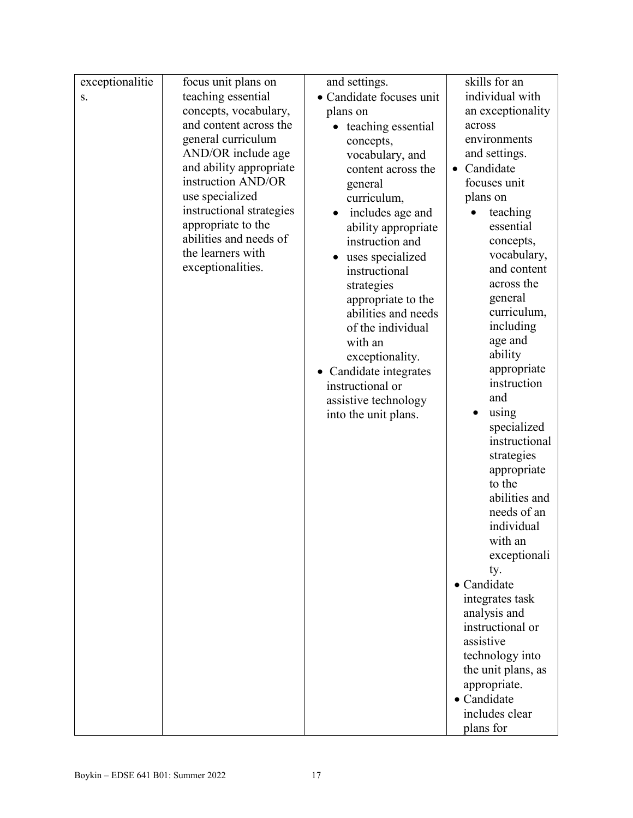| exceptionalitie | focus unit plans on      | and settings.            | skills for an              |
|-----------------|--------------------------|--------------------------|----------------------------|
| S.              | teaching essential       | • Candidate focuses unit | individual with            |
|                 | concepts, vocabulary,    | plans on                 | an exceptionality          |
|                 | and content across the   | teaching essential       | across                     |
|                 | general curriculum       | concepts,                | environments               |
|                 | AND/OR include age       | vocabulary, and          | and settings.              |
|                 | and ability appropriate  | content across the       | Candidate<br>$\bullet$     |
|                 | instruction AND/OR       | general                  | focuses unit               |
|                 | use specialized          | curriculum,              | plans on                   |
|                 | instructional strategies | includes age and         | teaching                   |
|                 | appropriate to the       | ability appropriate      | essential                  |
|                 | abilities and needs of   | instruction and          | concepts,                  |
|                 | the learners with        | uses specialized         | vocabulary,                |
|                 | exceptionalities.        | instructional            | and content                |
|                 |                          | strategies               | across the                 |
|                 |                          | appropriate to the       | general                    |
|                 |                          | abilities and needs      | curriculum,                |
|                 |                          | of the individual        | including                  |
|                 |                          | with an                  | age and                    |
|                 |                          | exceptionality.          | ability                    |
|                 |                          | • Candidate integrates   | appropriate<br>instruction |
|                 |                          | instructional or         | and                        |
|                 |                          | assistive technology     | using                      |
|                 |                          | into the unit plans.     | specialized                |
|                 |                          |                          | instructional              |
|                 |                          |                          | strategies                 |
|                 |                          |                          | appropriate                |
|                 |                          |                          | to the                     |
|                 |                          |                          | abilities and              |
|                 |                          |                          | needs of an                |
|                 |                          |                          | individual                 |
|                 |                          |                          | with an                    |
|                 |                          |                          | exceptionali               |
|                 |                          |                          | ty.                        |
|                 |                          |                          | • Candidate                |
|                 |                          |                          | integrates task            |
|                 |                          |                          | analysis and               |
|                 |                          |                          | instructional or           |
|                 |                          |                          | assistive                  |
|                 |                          |                          | technology into            |
|                 |                          |                          | the unit plans, as         |
|                 |                          |                          | appropriate.               |
|                 |                          |                          | • Candidate                |
|                 |                          |                          | includes clear             |
|                 |                          |                          | plans for                  |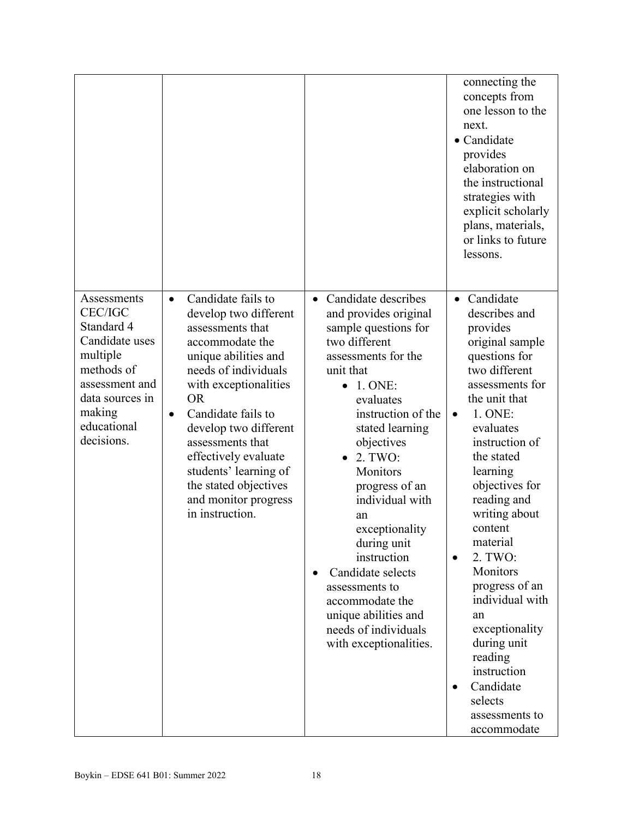|                                                                                                                                                                     |                                                                                                                                                                                                                                                                                                                                                                                            |                                                                                                                                                                                                                                                                                                                                                                                                                                                                  | connecting the<br>concepts from<br>one lesson to the<br>next.<br>• Candidate<br>provides<br>elaboration on<br>the instructional<br>strategies with<br>explicit scholarly<br>plans, materials,<br>or links to future<br>lessons.                                                                                                                                                                                                                                                 |
|---------------------------------------------------------------------------------------------------------------------------------------------------------------------|--------------------------------------------------------------------------------------------------------------------------------------------------------------------------------------------------------------------------------------------------------------------------------------------------------------------------------------------------------------------------------------------|------------------------------------------------------------------------------------------------------------------------------------------------------------------------------------------------------------------------------------------------------------------------------------------------------------------------------------------------------------------------------------------------------------------------------------------------------------------|---------------------------------------------------------------------------------------------------------------------------------------------------------------------------------------------------------------------------------------------------------------------------------------------------------------------------------------------------------------------------------------------------------------------------------------------------------------------------------|
| Assessments<br><b>CEC/IGC</b><br>Standard 4<br>Candidate uses<br>multiple<br>methods of<br>assessment and<br>data sources in<br>making<br>educational<br>decisions. | Candidate fails to<br>$\bullet$<br>develop two different<br>assessments that<br>accommodate the<br>unique abilities and<br>needs of individuals<br>with exceptionalities<br><b>OR</b><br>Candidate fails to<br>$\bullet$<br>develop two different<br>assessments that<br>effectively evaluate<br>students' learning of<br>the stated objectives<br>and monitor progress<br>in instruction. | • Candidate describes<br>and provides original<br>sample questions for<br>two different<br>assessments for the<br>unit that<br>1. ONE:<br>evaluates<br>instruction of the<br>stated learning<br>objectives<br>2. TWO:<br>Monitors<br>progress of an<br>individual with<br>an<br>exceptionality<br>during unit<br>instruction<br>Candidate selects<br>assessments to<br>accommodate the<br>unique abilities and<br>needs of individuals<br>with exceptionalities. | Candidate<br>$\bullet$<br>describes and<br>provides<br>original sample<br>questions for<br>two different<br>assessments for<br>the unit that<br>1. ONE:<br>evaluates<br>instruction of<br>the stated<br>learning<br>objectives for<br>reading and<br>writing about<br>content<br>material<br>2. TWO:<br>Monitors<br>progress of an<br>individual with<br>an<br>exceptionality<br>during unit<br>reading<br>instruction<br>Candidate<br>selects<br>assessments to<br>accommodate |